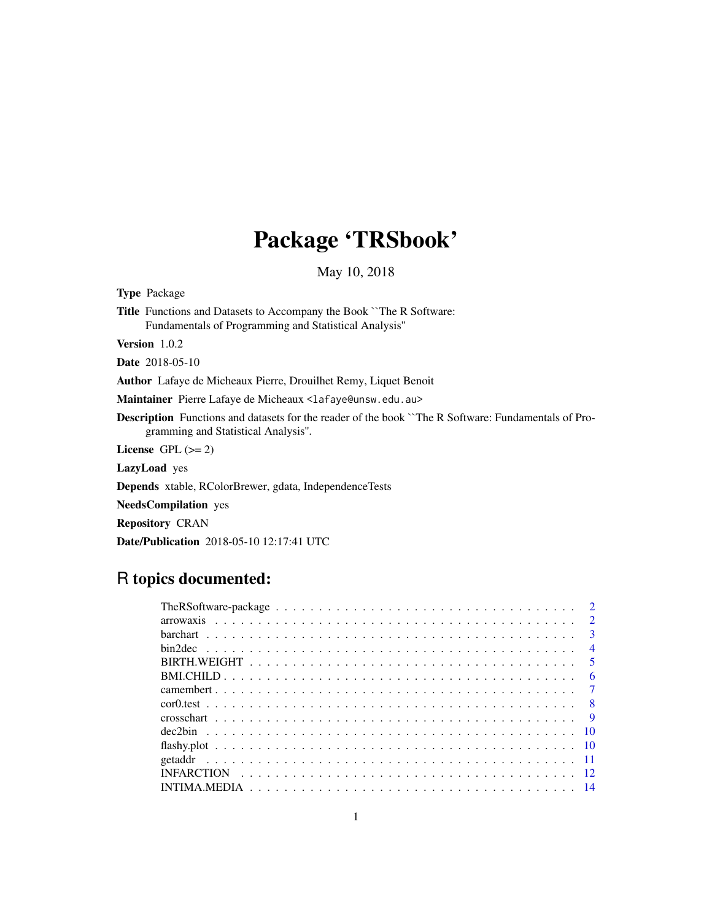# Package 'TRSbook'

May 10, 2018

<span id="page-0-0"></span>

| <b>Type Package</b>                                                                                                                              |
|--------------------------------------------------------------------------------------------------------------------------------------------------|
| <b>Title</b> Functions and Datasets to Accompany the Book `The R Software:<br>Fundamentals of Programming and Statistical Analysis"              |
| <b>Version</b> $1.0.2$                                                                                                                           |
| <b>Date</b> 2018-05-10                                                                                                                           |
| <b>Author</b> Lafaye de Micheaux Pierre, Drouilhet Remy, Liquet Benoit                                                                           |
| Maintainer Pierre Lafaye de Micheaux <lafaye@unsw.edu.au></lafaye@unsw.edu.au>                                                                   |
| <b>Description</b> Functions and datasets for the reader of the book The R Software: Fundamentals of Pro-<br>gramming and Statistical Analysis". |
| License $GPL (= 2)$                                                                                                                              |
| <b>LazyLoad</b> yes                                                                                                                              |
| <b>Depends</b> xtable, RColorBrewer, gdata, IndependenceTests                                                                                    |
| <b>NeedsCompilation</b> yes                                                                                                                      |
| <b>Repository CRAN</b>                                                                                                                           |
| <b>Date/Publication</b> 2018-05-10 12:17:41 UTC                                                                                                  |
|                                                                                                                                                  |

### R topics documented:

| $\overline{4}$ |
|----------------|
|                |
|                |
|                |
|                |
|                |
|                |
|                |
|                |
|                |
|                |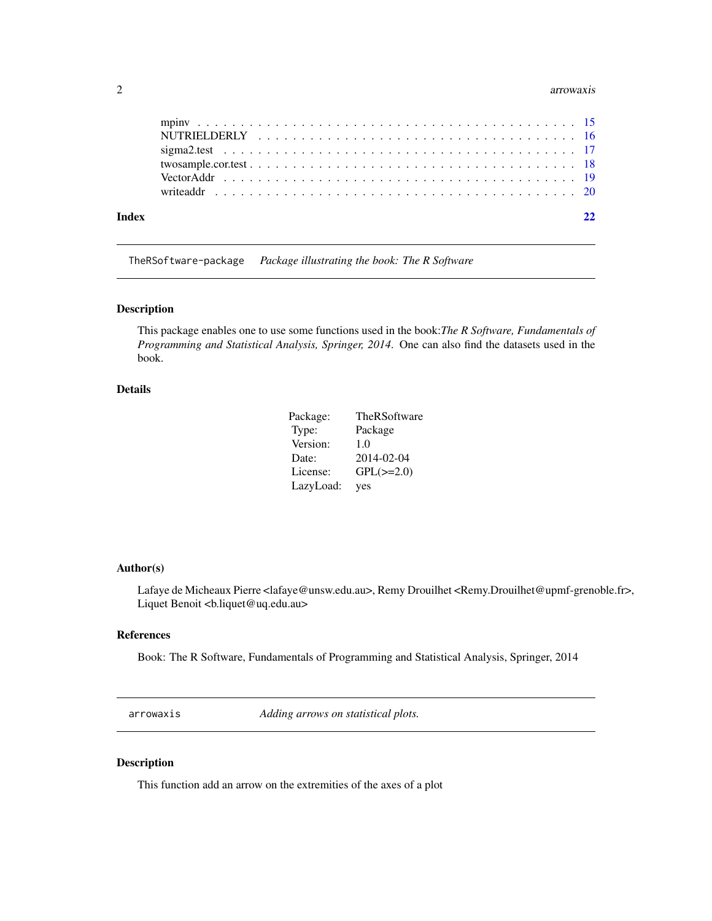#### <span id="page-1-0"></span>2 arrowaxis

| Index |  |
|-------|--|
|       |  |
|       |  |
|       |  |
|       |  |
|       |  |
|       |  |

TheRSoftware-package *Package illustrating the book: The R Software*

#### Description

This package enables one to use some functions used in the book:*The R Software, Fundamentals of Programming and Statistical Analysis, Springer, 2014*. One can also find the datasets used in the book.

#### Details

| Package:  | TheRSoftware   |
|-----------|----------------|
| Type:     | Package        |
| Version:  | 1.0            |
| Date:     | 2014-02-04     |
| License:  | $GPL(\ge=2.0)$ |
| LazyLoad: | yes            |

#### Author(s)

Lafaye de Micheaux Pierre <lafaye@unsw.edu.au>, Remy Drouilhet <Remy.Drouilhet@upmf-grenoble.fr>, Liquet Benoit <br/> <br/>b.liquet@uq.edu.au>

#### References

Book: The R Software, Fundamentals of Programming and Statistical Analysis, Springer, 2014

arrowaxis *Adding arrows on statistical plots.*

#### Description

This function add an arrow on the extremities of the axes of a plot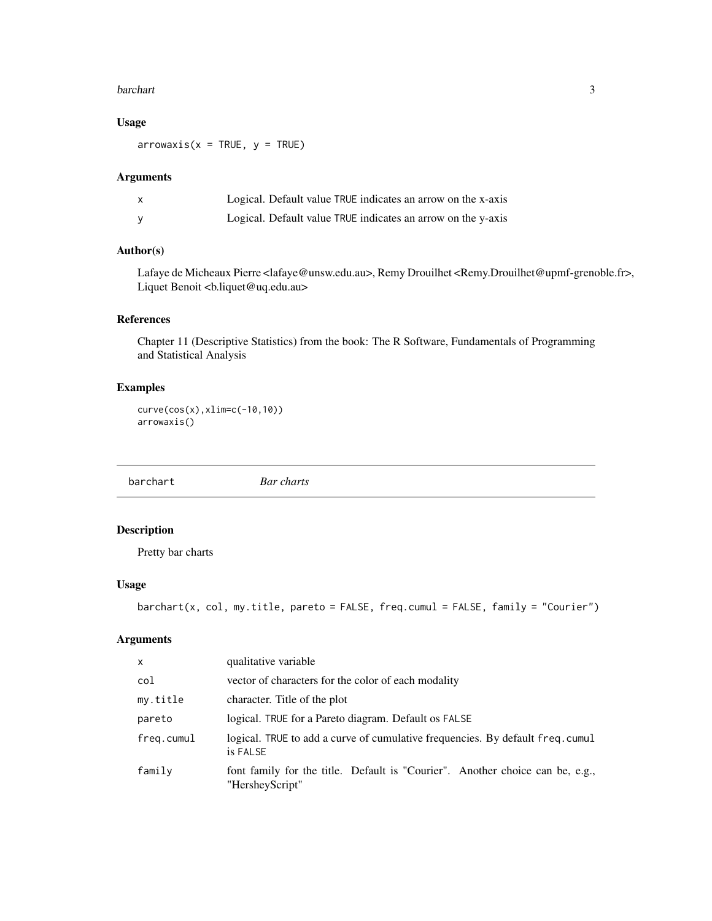#### <span id="page-2-0"></span>barchart 3

#### Usage

 $arrowsis(x = TRUE, y = TRUE)$ 

#### Arguments

| $\mathsf{x}$ | Logical. Default value TRUE indicates an arrow on the x-axis |
|--------------|--------------------------------------------------------------|
|              | Logical. Default value TRUE indicates an arrow on the y-axis |

#### Author(s)

Lafaye de Micheaux Pierre <lafaye@unsw.edu.au>, Remy Drouilhet <Remy.Drouilhet@upmf-grenoble.fr>, Liquet Benoit <br/> <br/>b.liquet@uq.edu.au>

#### References

Chapter 11 (Descriptive Statistics) from the book: The R Software, Fundamentals of Programming and Statistical Analysis

#### Examples

curve(cos(x),xlim=c(-10,10)) arrowaxis()

barchart *Bar charts*

#### Description

Pretty bar charts

#### Usage

```
barchart(x, col, my.title, pareto = FALSE, freq.cumul = FALSE, family = "Courier")
```
#### Arguments

| $\mathsf{x}$ | qualitative variable                                                                             |
|--------------|--------------------------------------------------------------------------------------------------|
| col          | vector of characters for the color of each modality                                              |
| my.title     | character. Title of the plot                                                                     |
| pareto       | logical. TRUE for a Pareto diagram. Default os FALSE                                             |
| freg.cumul   | logical. TRUE to add a curve of cumulative frequencies. By default freq. cumul<br>is FALSE       |
| family       | font family for the title. Default is "Courier". Another choice can be, e.g.,<br>"HersheyScript" |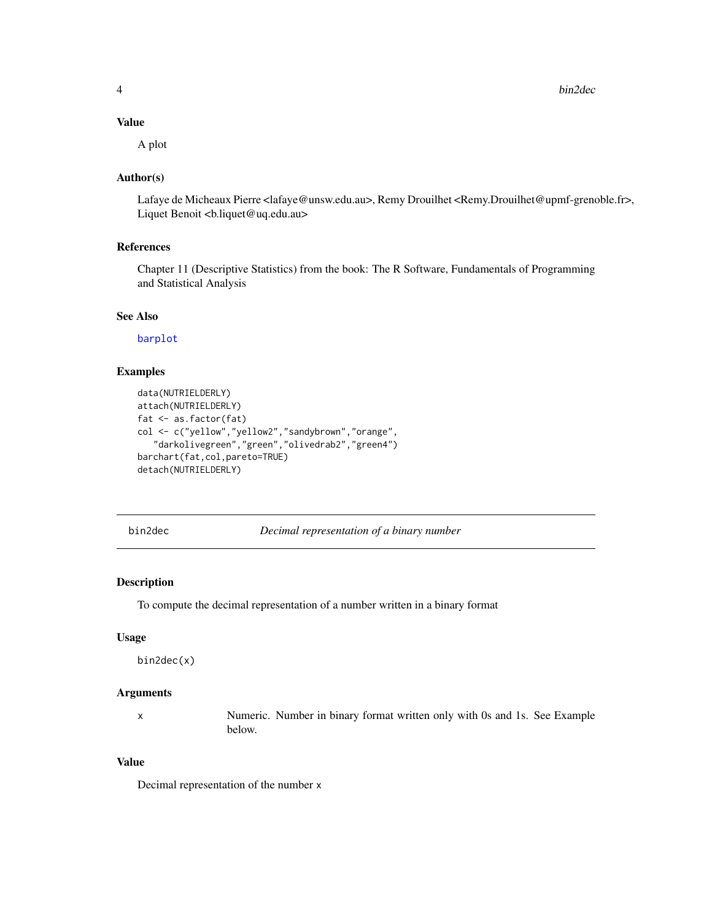<span id="page-3-0"></span>4 bin2dec

#### Value

A plot

#### Author(s)

Lafaye de Micheaux Pierre <lafaye@unsw.edu.au>, Remy Drouilhet <Remy.Drouilhet@upmf-grenoble.fr>, Liquet Benoit <br/> <br/>b.liquet@uq.edu.au>

#### References

Chapter 11 (Descriptive Statistics) from the book: The R Software, Fundamentals of Programming and Statistical Analysis

#### See Also

[barplot](#page-0-0)

#### Examples

```
data(NUTRIELDERLY)
attach(NUTRIELDERLY)
fat <- as.factor(fat)
col <- c("yellow","yellow2","sandybrown","orange",
   "darkolivegreen","green","olivedrab2","green4")
barchart(fat,col,pareto=TRUE)
detach(NUTRIELDERLY)
```
bin2dec *Decimal representation of a binary number*

#### Description

To compute the decimal representation of a number written in a binary format

#### Usage

bin2dec(x)

#### Arguments

x Numeric. Number in binary format written only with 0s and 1s. See Example below.

#### Value

Decimal representation of the number x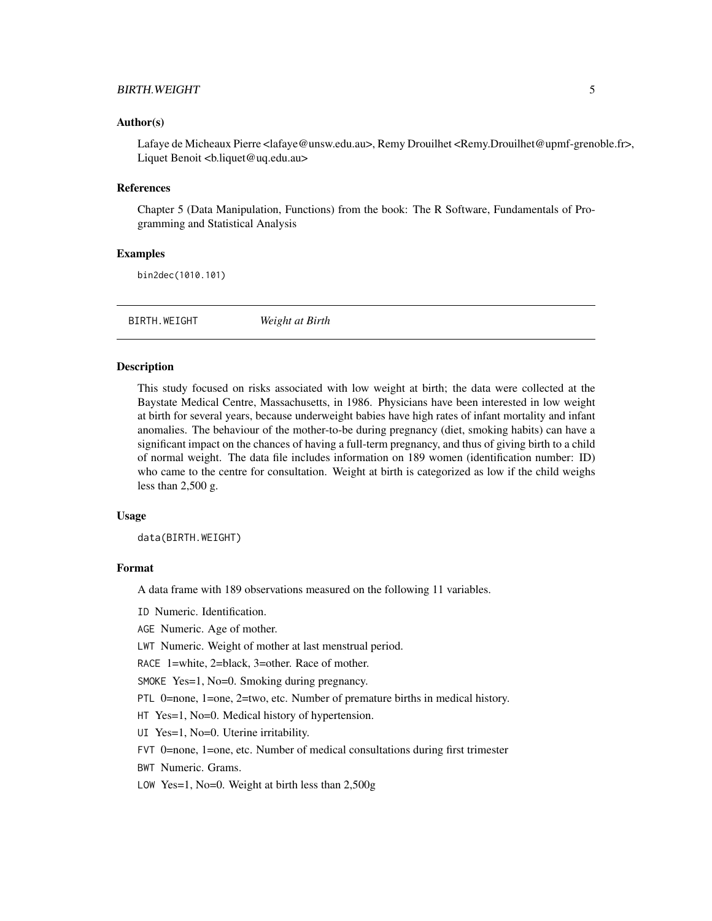#### <span id="page-4-0"></span>BIRTH.WEIGHT 5

#### Author(s)

Lafaye de Micheaux Pierre <lafaye@unsw.edu.au>, Remy Drouilhet <Remy.Drouilhet@upmf-grenoble.fr>, Liquet Benoit <b.liquet@uq.edu.au>

#### References

Chapter 5 (Data Manipulation, Functions) from the book: The R Software, Fundamentals of Programming and Statistical Analysis

#### Examples

bin2dec(1010.101)

BIRTH.WEIGHT *Weight at Birth*

#### Description

This study focused on risks associated with low weight at birth; the data were collected at the Baystate Medical Centre, Massachusetts, in 1986. Physicians have been interested in low weight at birth for several years, because underweight babies have high rates of infant mortality and infant anomalies. The behaviour of the mother-to-be during pregnancy (diet, smoking habits) can have a significant impact on the chances of having a full-term pregnancy, and thus of giving birth to a child of normal weight. The data file includes information on 189 women (identification number: ID) who came to the centre for consultation. Weight at birth is categorized as low if the child weighs less than 2,500 g.

#### Usage

data(BIRTH.WEIGHT)

#### Format

A data frame with 189 observations measured on the following 11 variables.

ID Numeric. Identification.

AGE Numeric. Age of mother.

LWT Numeric. Weight of mother at last menstrual period.

RACE 1=white, 2=black, 3=other. Race of mother.

SMOKE Yes=1, No=0. Smoking during pregnancy.

PTL 0=none, 1=one, 2=two, etc. Number of premature births in medical history.

HT Yes=1, No=0. Medical history of hypertension.

- UI Yes=1, No=0. Uterine irritability.
- FVT 0=none, 1=one, etc. Number of medical consultations during first trimester
- BWT Numeric. Grams.
- LOW Yes=1, No=0. Weight at birth less than 2,500g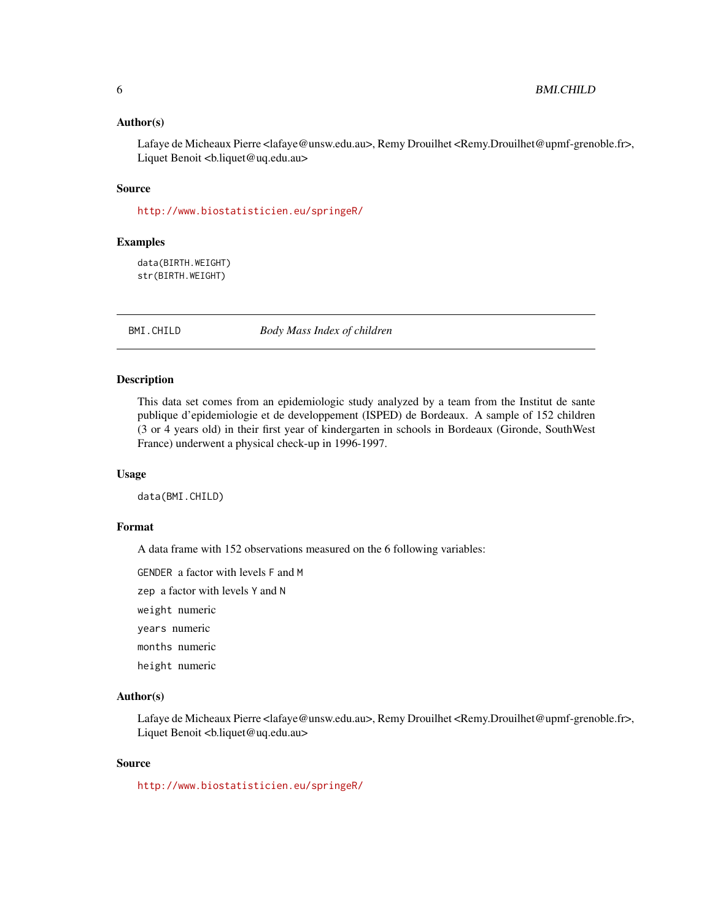#### <span id="page-5-0"></span>Author(s)

Lafaye de Micheaux Pierre <lafaye@unsw.edu.au>, Remy Drouilhet <Remy.Drouilhet@upmf-grenoble.fr>, Liquet Benoit <br/> <br/>b.liquet@uq.edu.au>

#### Source

<http://www.biostatisticien.eu/springeR/>

#### Examples

data(BIRTH.WEIGHT) str(BIRTH.WEIGHT)

BMI.CHILD *Body Mass Index of children*

#### Description

This data set comes from an epidemiologic study analyzed by a team from the Institut de sante publique d'epidemiologie et de developpement (ISPED) de Bordeaux. A sample of 152 children (3 or 4 years old) in their first year of kindergarten in schools in Bordeaux (Gironde, SouthWest France) underwent a physical check-up in 1996-1997.

#### Usage

data(BMI.CHILD)

#### Format

A data frame with 152 observations measured on the 6 following variables:

GENDER a factor with levels F and M

zep a factor with levels Y and N

weight numeric

years numeric

months numeric

height numeric

#### Author(s)

Lafaye de Micheaux Pierre <lafaye@unsw.edu.au>, Remy Drouilhet <Remy.Drouilhet@upmf-grenoble.fr>, Liquet Benoit <br/> <br/>b.liquet@uq.edu.au>

#### Source

<http://www.biostatisticien.eu/springeR/>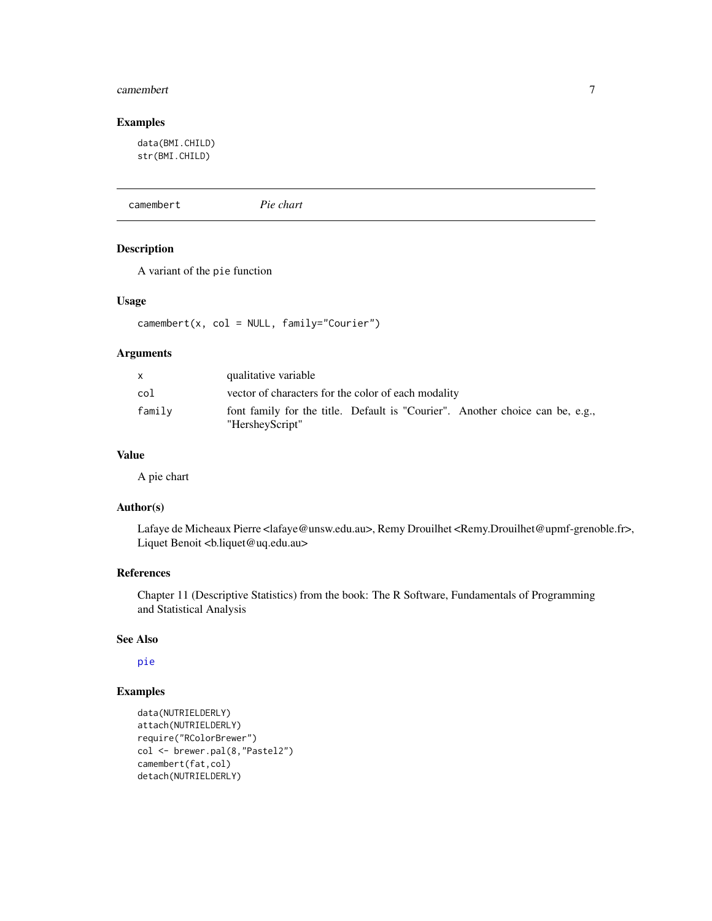#### <span id="page-6-0"></span>camembert 7

#### Examples

data(BMI.CHILD) str(BMI.CHILD)

camembert *Pie chart*

#### Description

A variant of the pie function

#### Usage

camembert(x, col = NULL, family="Courier")

#### Arguments

| $\mathsf{x}$ | qualitative variable                                                                             |
|--------------|--------------------------------------------------------------------------------------------------|
| col          | vector of characters for the color of each modality                                              |
| family       | font family for the title. Default is "Courier". Another choice can be, e.g.,<br>"HersheyScript" |

#### Value

A pie chart

#### Author(s)

Lafaye de Micheaux Pierre <lafaye@unsw.edu.au>, Remy Drouilhet <Remy.Drouilhet@upmf-grenoble.fr>, Liquet Benoit <bl/>b.liquet@uq.edu.au>

#### References

Chapter 11 (Descriptive Statistics) from the book: The R Software, Fundamentals of Programming and Statistical Analysis

#### See Also

[pie](#page-0-0)

```
data(NUTRIELDERLY)
attach(NUTRIELDERLY)
require("RColorBrewer")
col <- brewer.pal(8,"Pastel2")
camembert(fat,col)
detach(NUTRIELDERLY)
```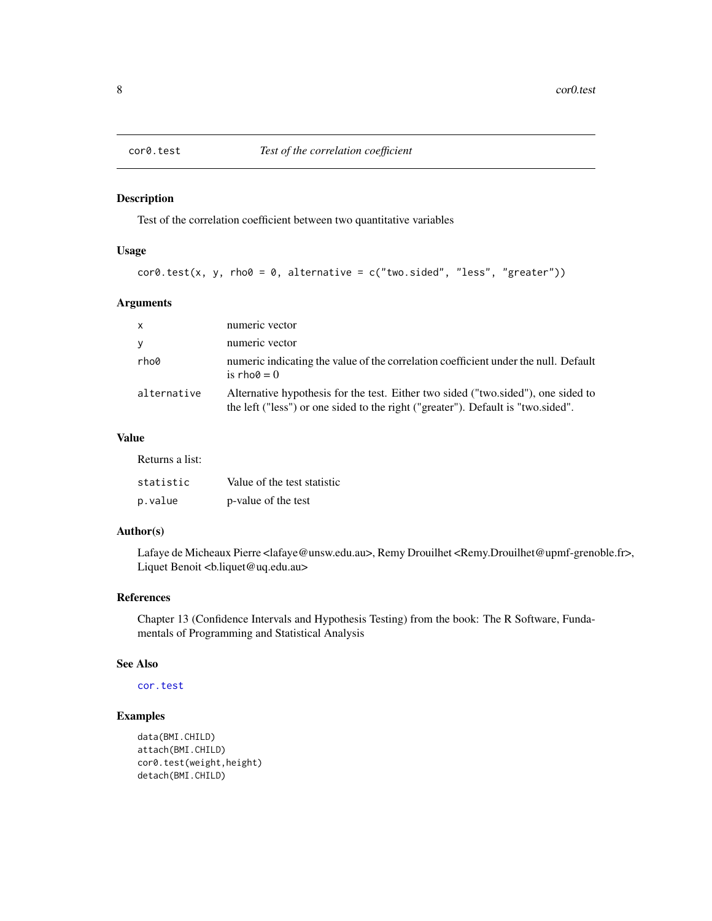<span id="page-7-1"></span><span id="page-7-0"></span>

Test of the correlation coefficient between two quantitative variables

#### Usage

```
cor0.test(x, y, rho0 = 0, alternative = c("two.sided", "less", "greater")
```
#### Arguments

| $\mathsf{x}$ | numeric vector                                                                                                                                                        |
|--------------|-----------------------------------------------------------------------------------------------------------------------------------------------------------------------|
| y            | numeric vector                                                                                                                                                        |
| rho0         | numeric indicating the value of the correlation coefficient under the null. Default<br>is rho $\theta = 0$                                                            |
| alternative  | Alternative hypothesis for the test. Either two sided ("two sided"), one sided to<br>the left ("less") or one sided to the right ("greater"). Default is "two.sided". |

#### Value

Returns a list:

| statistic | Value of the test statistic |
|-----------|-----------------------------|
| p.value   | p-value of the test         |

#### Author(s)

Lafaye de Micheaux Pierre <lafaye@unsw.edu.au>, Remy Drouilhet <Remy.Drouilhet@upmf-grenoble.fr>, Liquet Benoit <br/> <br/>b.liquet@uq.edu.au>

#### References

Chapter 13 (Confidence Intervals and Hypothesis Testing) from the book: The R Software, Fundamentals of Programming and Statistical Analysis

#### See Also

[cor.test](#page-0-0)

```
data(BMI.CHILD)
attach(BMI.CHILD)
cor0.test(weight,height)
detach(BMI.CHILD)
```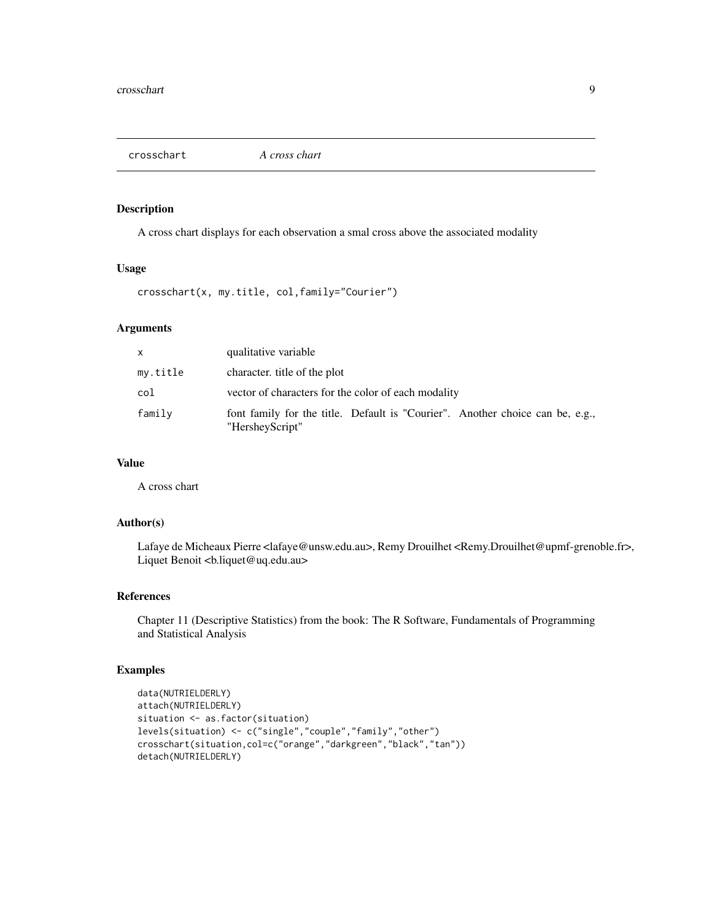<span id="page-8-0"></span>

A cross chart displays for each observation a smal cross above the associated modality

#### Usage

crosschart(x, my.title, col,family="Courier")

#### Arguments

| X        | qualitative variable                                                                             |
|----------|--------------------------------------------------------------------------------------------------|
| my.title | character, title of the plot                                                                     |
| col      | vector of characters for the color of each modality                                              |
| family   | font family for the title. Default is "Courier". Another choice can be, e.g.,<br>"HersheyScript" |

#### Value

A cross chart

#### Author(s)

Lafaye de Micheaux Pierre <lafaye@unsw.edu.au>, Remy Drouilhet <Remy.Drouilhet@upmf-grenoble.fr>, Liquet Benoit <bl/>b.liquet@uq.edu.au>

#### References

Chapter 11 (Descriptive Statistics) from the book: The R Software, Fundamentals of Programming and Statistical Analysis

```
data(NUTRIELDERLY)
attach(NUTRIELDERLY)
situation <- as.factor(situation)
levels(situation) <- c("single","couple","family","other")
crosschart(situation,col=c("orange","darkgreen","black","tan"))
detach(NUTRIELDERLY)
```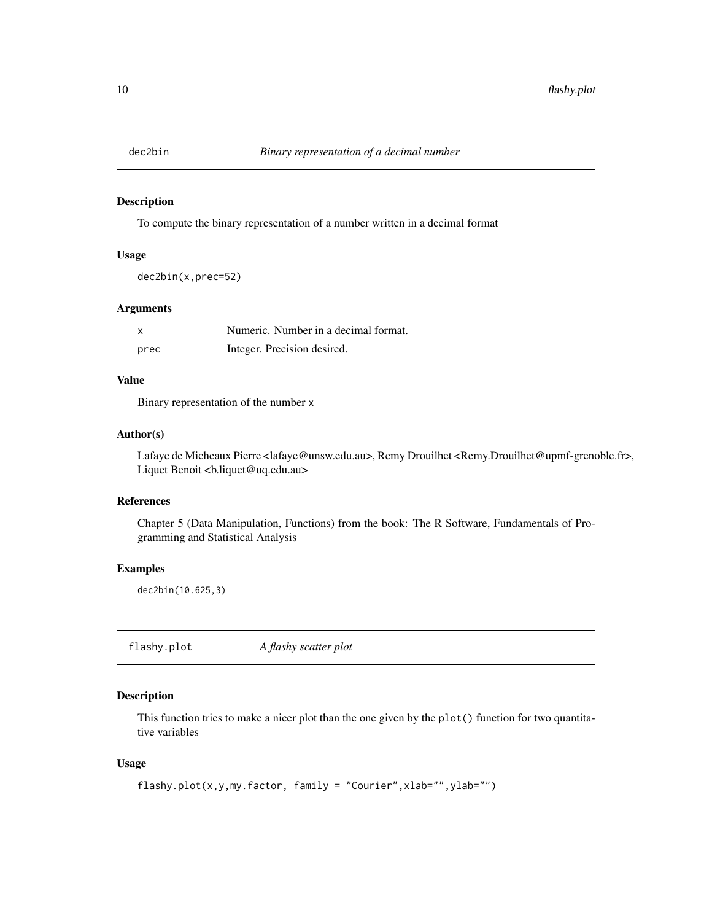<span id="page-9-0"></span>

To compute the binary representation of a number written in a decimal format

#### Usage

dec2bin(x,prec=52)

#### Arguments

| x    | Numeric. Number in a decimal format. |
|------|--------------------------------------|
| prec | Integer. Precision desired.          |

#### Value

Binary representation of the number x

#### Author(s)

Lafaye de Micheaux Pierre <lafaye@unsw.edu.au>, Remy Drouilhet <Remy.Drouilhet@upmf-grenoble.fr>, Liquet Benoit <bl/>b.liquet@uq.edu.au>

#### References

Chapter 5 (Data Manipulation, Functions) from the book: The R Software, Fundamentals of Programming and Statistical Analysis

#### Examples

dec2bin(10.625,3)

flashy.plot *A flashy scatter plot*

#### Description

This function tries to make a nicer plot than the one given by the plot() function for two quantitative variables

#### Usage

```
flashy.plot(x,y,my.factor, family = "Courier",xlab="",ylab="")
```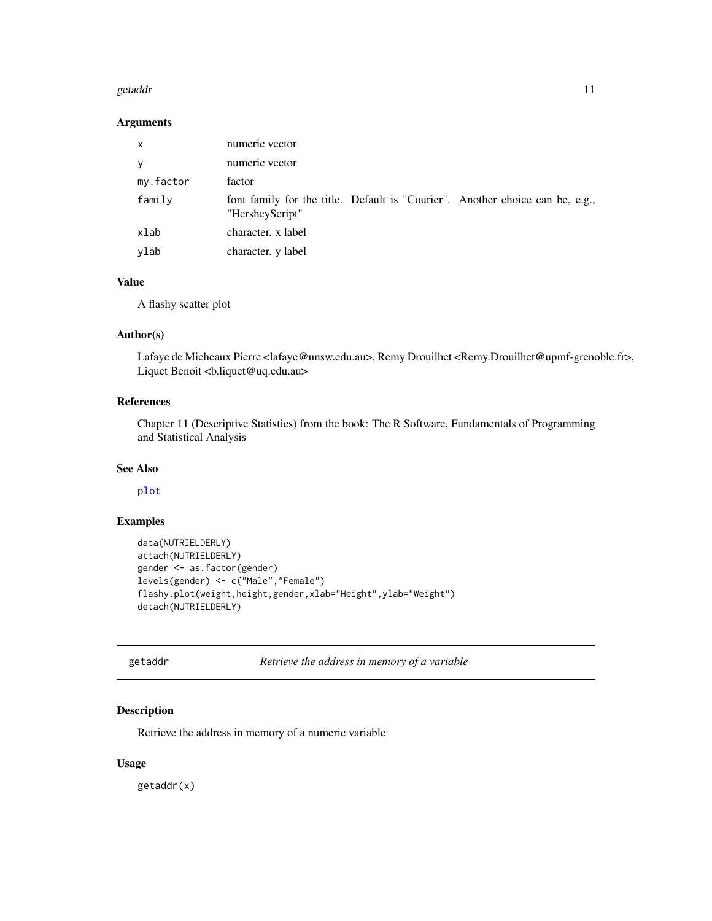#### <span id="page-10-0"></span>getaddr 11

#### Arguments

| X         | numeric vector                                                                                   |
|-----------|--------------------------------------------------------------------------------------------------|
| V         | numeric vector                                                                                   |
| my.factor | factor                                                                                           |
| family    | font family for the title. Default is "Courier". Another choice can be, e.g.,<br>"HersheyScript" |
| xlab      | character. x label                                                                               |
| ylab      | character. y label                                                                               |

#### Value

A flashy scatter plot

#### Author(s)

Lafaye de Micheaux Pierre <lafaye@unsw.edu.au>, Remy Drouilhet <Remy.Drouilhet@upmf-grenoble.fr>, Liquet Benoit <bl/>b.liquet@uq.edu.au>

#### References

Chapter 11 (Descriptive Statistics) from the book: The R Software, Fundamentals of Programming and Statistical Analysis

#### See Also

[plot](#page-0-0)

#### Examples

```
data(NUTRIELDERLY)
attach(NUTRIELDERLY)
gender <- as.factor(gender)
levels(gender) <- c("Male","Female")
flashy.plot(weight,height,gender,xlab="Height",ylab="Weight")
detach(NUTRIELDERLY)
```
getaddr *Retrieve the address in memory of a variable*

#### Description

Retrieve the address in memory of a numeric variable

#### Usage

getaddr(x)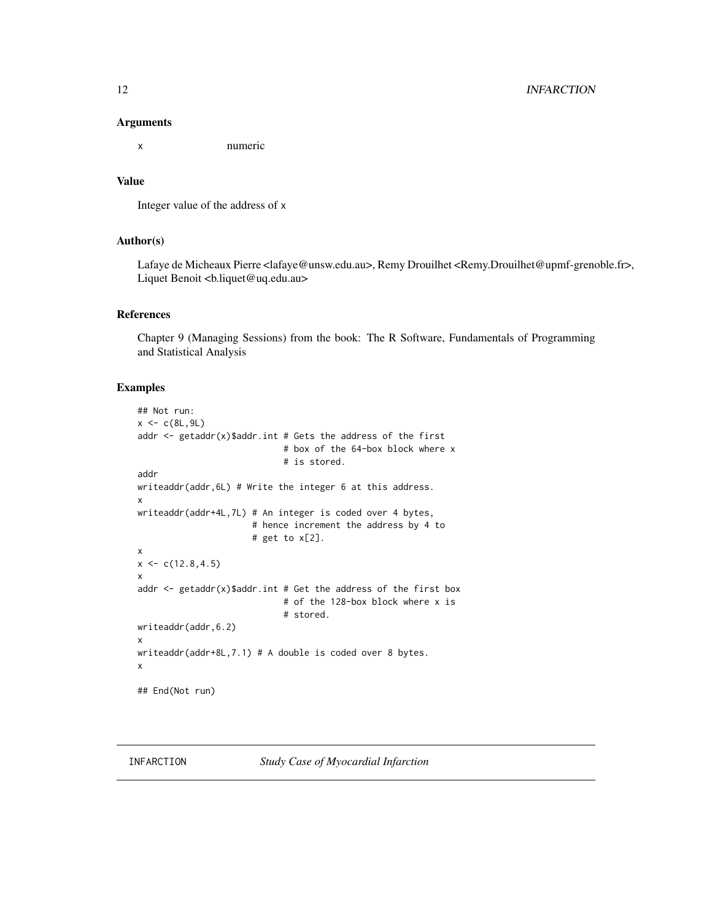#### <span id="page-11-0"></span>12 INFARCTION

#### Arguments

x numeric

#### Value

```
Integer value of the address of x
```
#### Author(s)

Lafaye de Micheaux Pierre <lafaye@unsw.edu.au>, Remy Drouilhet <Remy.Drouilhet@upmf-grenoble.fr>, Liquet Benoit <b.liquet@uq.edu.au>

#### References

Chapter 9 (Managing Sessions) from the book: The R Software, Fundamentals of Programming and Statistical Analysis

#### Examples

```
## Not run:
x < -c(8L, 9L)addr \leq getaddr(x)$addr.int # Gets the address of the first
                             # box of the 64-box block where x
                             # is stored.
addr
writeaddr(addr,6L) # Write the integer 6 at this address.
x
writeaddr(addr+4L,7L) # An integer is coded over 4 bytes,
                      # hence increment the address by 4 to
                      # get to x[2].
x
x \leftarrow c(12.8, 4.5)x
addr \leq getaddr(x)$addr.int # Get the address of the first box
                             # of the 128-box block where x is
                             # stored.
writeaddr(addr,6.2)
x
writeaddr(addr+8L,7.1) # A double is coded over 8 bytes.
x
## End(Not run)
```
INFARCTION *Study Case of Myocardial Infarction*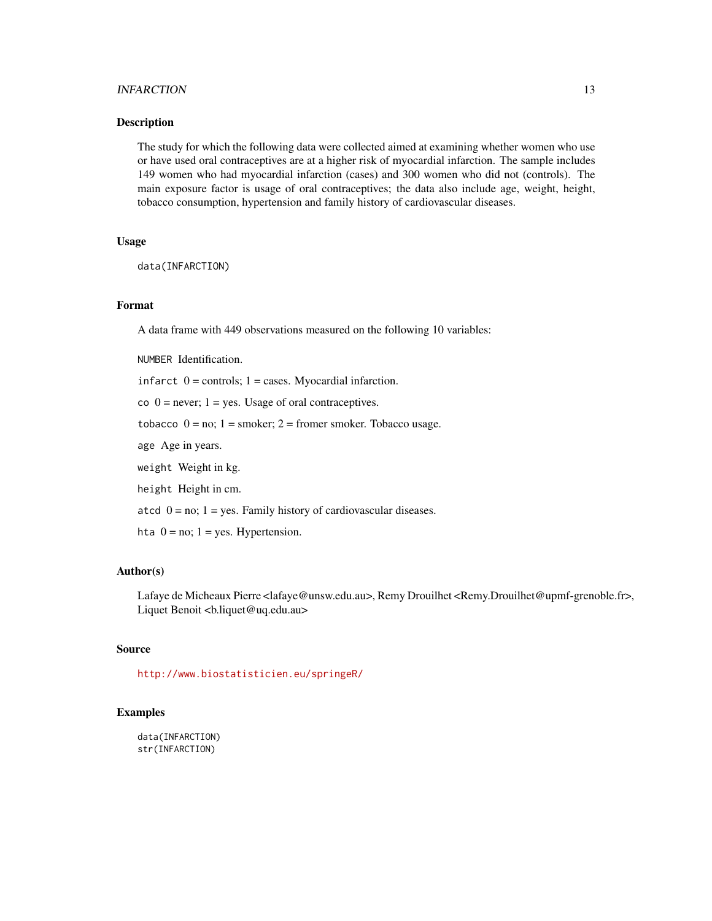#### INFARCTION 13

#### Description

The study for which the following data were collected aimed at examining whether women who use or have used oral contraceptives are at a higher risk of myocardial infarction. The sample includes 149 women who had myocardial infarction (cases) and 300 women who did not (controls). The main exposure factor is usage of oral contraceptives; the data also include age, weight, height, tobacco consumption, hypertension and family history of cardiovascular diseases.

#### Usage

```
data(INFARCTION)
```
#### Format

A data frame with 449 observations measured on the following 10 variables:

NUMBER Identification.

infarct  $0 =$  controls;  $1 =$  cases. Myocardial infarction.

co  $0 =$  never;  $1 =$  yes. Usage of oral contraceptives.

tobacco  $0 = no$ ;  $1 =$ smoker;  $2 =$ fromer smoker. Tobacco usage.

age Age in years.

weight Weight in kg.

height Height in cm.

atcd  $0 = no$ ;  $1 = yes$ . Family history of cardiovascular diseases.

hta  $0 = no$ ;  $1 = yes$ . Hypertension.

#### Author(s)

Lafaye de Micheaux Pierre <lafaye@unsw.edu.au>, Remy Drouilhet <Remy.Drouilhet@upmf-grenoble.fr>, Liquet Benoit <bl/>b.liquet@uq.edu.au>

#### Source

<http://www.biostatisticien.eu/springeR/>

#### Examples

data(INFARCTION) str(INFARCTION)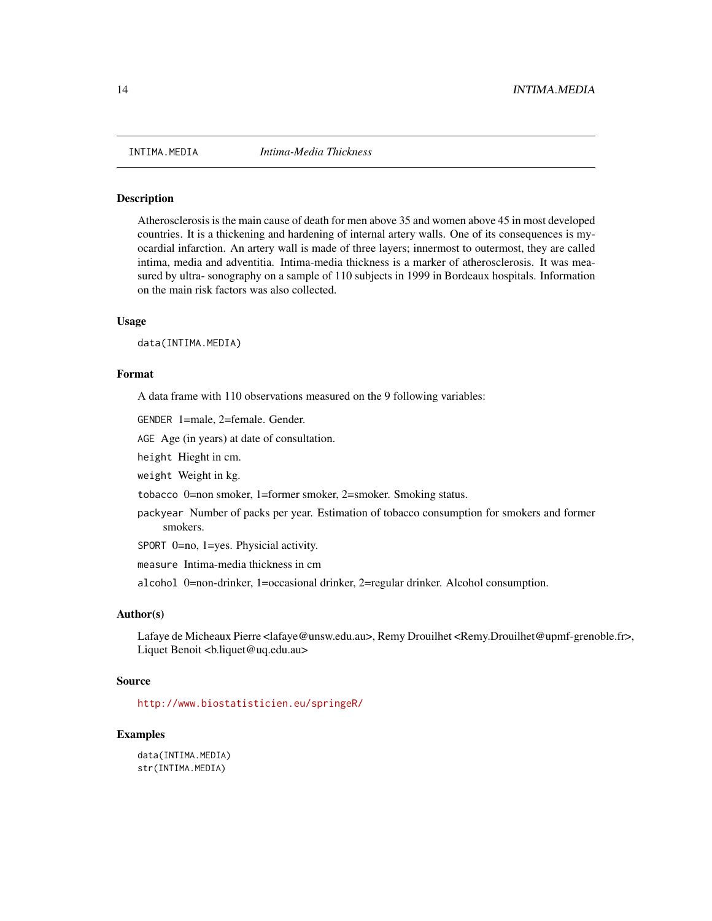<span id="page-13-0"></span>

Atherosclerosis is the main cause of death for men above 35 and women above 45 in most developed countries. It is a thickening and hardening of internal artery walls. One of its consequences is myocardial infarction. An artery wall is made of three layers; innermost to outermost, they are called intima, media and adventitia. Intima-media thickness is a marker of atherosclerosis. It was measured by ultra- sonography on a sample of 110 subjects in 1999 in Bordeaux hospitals. Information on the main risk factors was also collected.

#### Usage

data(INTIMA.MEDIA)

#### Format

A data frame with 110 observations measured on the 9 following variables:

GENDER 1=male, 2=female. Gender.

AGE Age (in years) at date of consultation.

height Hieght in cm.

weight Weight in kg.

tobacco 0=non smoker, 1=former smoker, 2=smoker. Smoking status.

packyear Number of packs per year. Estimation of tobacco consumption for smokers and former smokers.

SPORT 0=no, 1=yes. Physicial activity.

measure Intima-media thickness in cm

alcohol 0=non-drinker, 1=occasional drinker, 2=regular drinker. Alcohol consumption.

#### Author(s)

Lafaye de Micheaux Pierre <lafaye@unsw.edu.au>, Remy Drouilhet <Remy.Drouilhet@upmf-grenoble.fr>, Liquet Benoit <b.liquet@uq.edu.au>

#### Source

<http://www.biostatisticien.eu/springeR/>

#### Examples

data(INTIMA.MEDIA) str(INTIMA.MEDIA)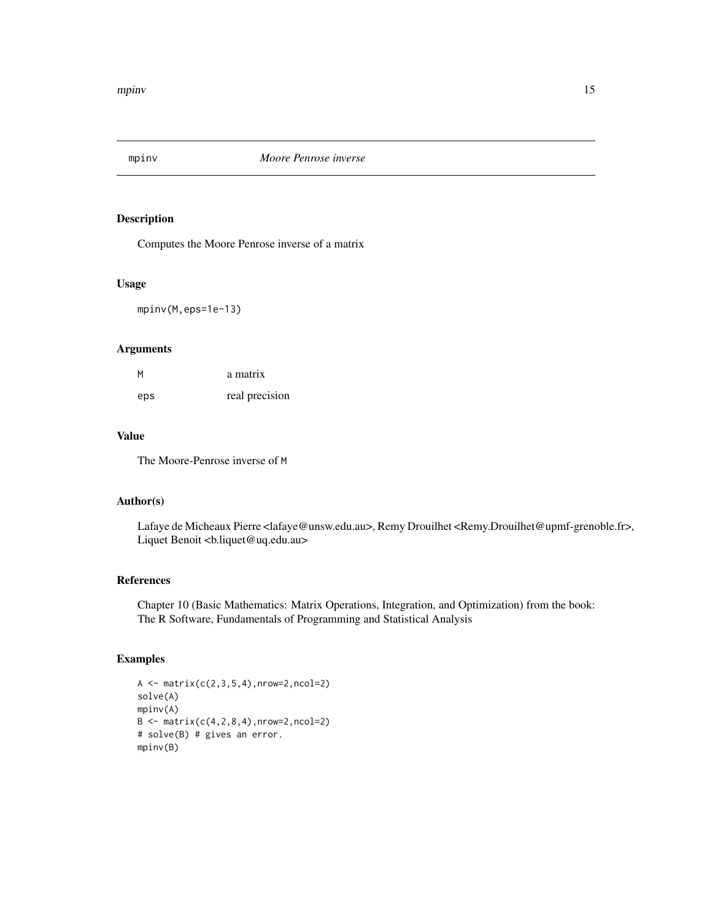<span id="page-14-0"></span>

Computes the Moore Penrose inverse of a matrix

#### Usage

mpinv(M,eps=1e-13)

#### Arguments

| M   | a matrix       |
|-----|----------------|
| eps | real precision |

#### Value

The Moore-Penrose inverse of M

#### Author(s)

Lafaye de Micheaux Pierre <lafaye@unsw.edu.au>, Remy Drouilhet <Remy.Drouilhet@upmf-grenoble.fr>, Liquet Benoit <br/> <br/>b.liquet@uq.edu.au>

#### References

Chapter 10 (Basic Mathematics: Matrix Operations, Integration, and Optimization) from the book: The R Software, Fundamentals of Programming and Statistical Analysis

```
A \leftarrow matrix(c(2, 3, 5, 4), nrow=2, ncol=2)solve(A)
mpinv(A)
B \le - matrix(c(4, 2, 8, 4), nrow=2, ncol=2)
# solve(B) # gives an error.
mpinv(B)
```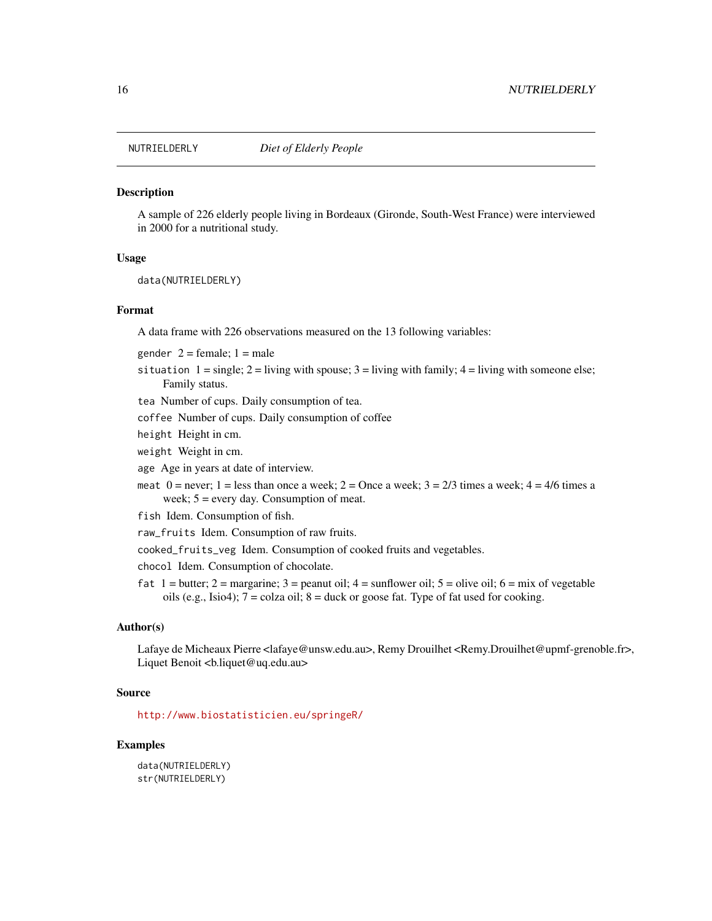<span id="page-15-0"></span>

A sample of 226 elderly people living in Bordeaux (Gironde, South-West France) were interviewed in 2000 for a nutritional study.

#### Usage

data(NUTRIELDERLY)

#### Format

A data frame with 226 observations measured on the 13 following variables:

gender  $2 = \text{female}; 1 = \text{male}$ 

situation  $1 = \text{single}$ ;  $2 = \text{living with space}$ ;  $3 = \text{living with family}$ ;  $4 = \text{living with someone else}$ ; Family status.

tea Number of cups. Daily consumption of tea.

coffee Number of cups. Daily consumption of coffee

height Height in cm.

weight Weight in cm.

age Age in years at date of interview.

meat  $0 =$  never;  $1 =$  less than once a week;  $2 =$  Once a week;  $3 = 2/3$  times a week;  $4 = 4/6$  times a week;  $5 =$  every day. Consumption of meat.

fish Idem. Consumption of fish.

raw\_fruits Idem. Consumption of raw fruits.

cooked\_fruits\_veg Idem. Consumption of cooked fruits and vegetables.

chocol Idem. Consumption of chocolate.

fat  $1 =$  butter;  $2 =$  margarine;  $3 =$  peanut oil;  $4 =$  sunflower oil;  $5 =$  olive oil;  $6 =$  mix of vegetable oils (e.g., Isio4);  $7 = \text{colza oil}$ ;  $8 = \text{duck or goose fat. Type of fat used for cooking.}$ 

#### Author(s)

Lafaye de Micheaux Pierre <lafaye@unsw.edu.au>, Remy Drouilhet <Remy.Drouilhet@upmf-grenoble.fr>, Liquet Benoit <br/> <br/>b.liquet@uq.edu.au>

#### Source

<http://www.biostatisticien.eu/springeR/>

#### Examples

data(NUTRIELDERLY) str(NUTRIELDERLY)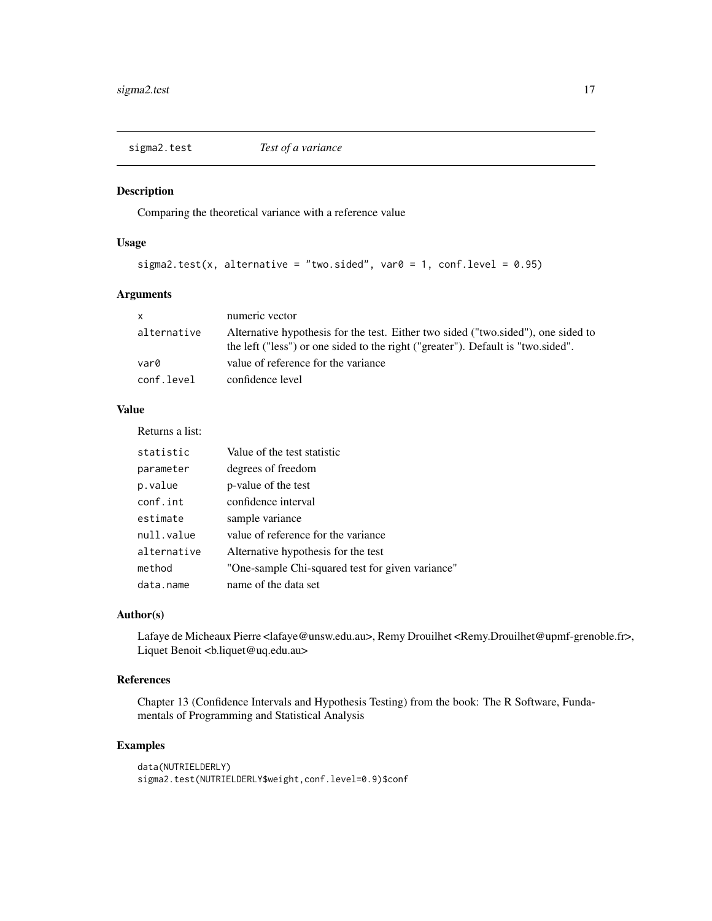<span id="page-16-0"></span>

Comparing the theoretical variance with a reference value

#### Usage

```
sigma2.test(x, alternative = "two.sided", var0 = 1, conf.level = 0.95)
```
#### Arguments

| $\mathsf{x}$ | numeric vector                                                                                                                                                        |
|--------------|-----------------------------------------------------------------------------------------------------------------------------------------------------------------------|
| alternative  | Alternative hypothesis for the test. Either two sided ("two sided"), one sided to<br>the left ("less") or one sided to the right ("greater"). Default is "two sided". |
| var0         | value of reference for the variance                                                                                                                                   |
| conf.level   | confidence level                                                                                                                                                      |

#### Value

Returns a list:

| statistic   | Value of the test statistic                      |
|-------------|--------------------------------------------------|
| parameter   | degrees of freedom                               |
| p.value     | p-value of the test                              |
| conf.int    | confidence interval                              |
| estimate    | sample variance                                  |
| null.value  | value of reference for the variance              |
| alternative | Alternative hypothesis for the test              |
| method      | "One-sample Chi-squared test for given variance" |
| data.name   | name of the data set                             |

#### Author(s)

Lafaye de Micheaux Pierre <lafaye@unsw.edu.au>, Remy Drouilhet <Remy.Drouilhet@upmf-grenoble.fr>, Liquet Benoit <bl/>b.liquet@uq.edu.au>

#### References

Chapter 13 (Confidence Intervals and Hypothesis Testing) from the book: The R Software, Fundamentals of Programming and Statistical Analysis

```
data(NUTRIELDERLY)
sigma2.test(NUTRIELDERLY$weight,conf.level=0.9)$conf
```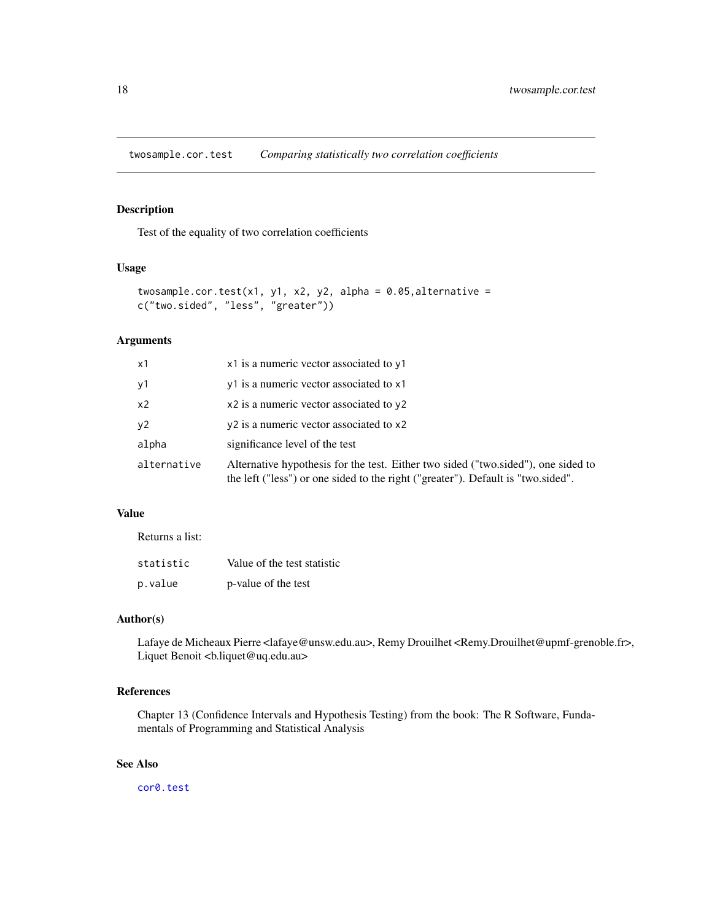<span id="page-17-0"></span>twosample.cor.test *Comparing statistically two correlation coefficients*

#### Description

Test of the equality of two correlation coefficients

#### Usage

```
twosample.cor.test(x1, y1, x2, y2, alpha = 0.05, alternative =
c("two.sided", "less", "greater"))
```
#### Arguments

| x1             | x1 is a numeric vector associated to y1                                                                                                                               |  |
|----------------|-----------------------------------------------------------------------------------------------------------------------------------------------------------------------|--|
| y1             | y1 is a numeric vector associated to x1                                                                                                                               |  |
| x <sub>2</sub> | x2 is a numeric vector associated to y2                                                                                                                               |  |
| y2             | y <sub>2</sub> is a numeric vector associated to x <sub>2</sub>                                                                                                       |  |
| alpha          | significance level of the test                                                                                                                                        |  |
| alternative    | Alternative hypothesis for the test. Either two sided ("two sided"), one sided to<br>the left ("less") or one sided to the right ("greater"). Default is "two sided". |  |

#### Value

Returns a list:

| statistic | Value of the test statistic |
|-----------|-----------------------------|
| p.value   | p-value of the test         |

#### Author(s)

Lafaye de Micheaux Pierre <lafaye@unsw.edu.au>, Remy Drouilhet <Remy.Drouilhet@upmf-grenoble.fr>, Liquet Benoit <br/>b.liquet@uq.edu.au>

#### References

Chapter 13 (Confidence Intervals and Hypothesis Testing) from the book: The R Software, Fundamentals of Programming and Statistical Analysis

#### See Also

[cor0.test](#page-7-1)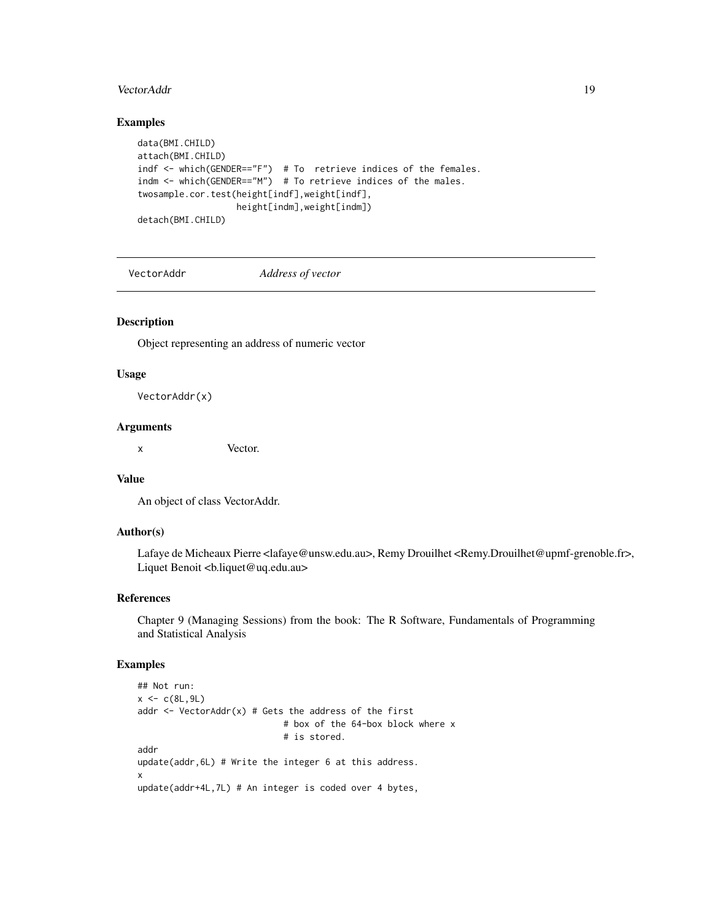#### <span id="page-18-0"></span>VectorAddr 19

#### Examples

```
data(BMI.CHILD)
attach(BMI.CHILD)
indf <- which(GENDER=="F") # To retrieve indices of the females.
indm <- which(GENDER=="M") # To retrieve indices of the males.
twosample.cor.test(height[indf],weight[indf],
                  height[indm],weight[indm])
detach(BMI.CHILD)
```
VectorAddr *Address of vector*

#### Description

Object representing an address of numeric vector

#### Usage

VectorAddr(x)

#### Arguments

x Vector.

#### Value

An object of class VectorAddr.

#### Author(s)

Lafaye de Micheaux Pierre <lafaye@unsw.edu.au>, Remy Drouilhet <Remy.Drouilhet@upmf-grenoble.fr>, Liquet Benoit <br/> <br/>b.liquet@uq.edu.au>

#### References

Chapter 9 (Managing Sessions) from the book: The R Software, Fundamentals of Programming and Statistical Analysis

```
## Not run:
x < -c(8L, 9L)addr \leq VectorAddr(x) # Gets the address of the first
                            # box of the 64-box block where x
                            # is stored.
addr
update(addr,6L) # Write the integer 6 at this address.
x
update(addr+4L,7L) # An integer is coded over 4 bytes,
```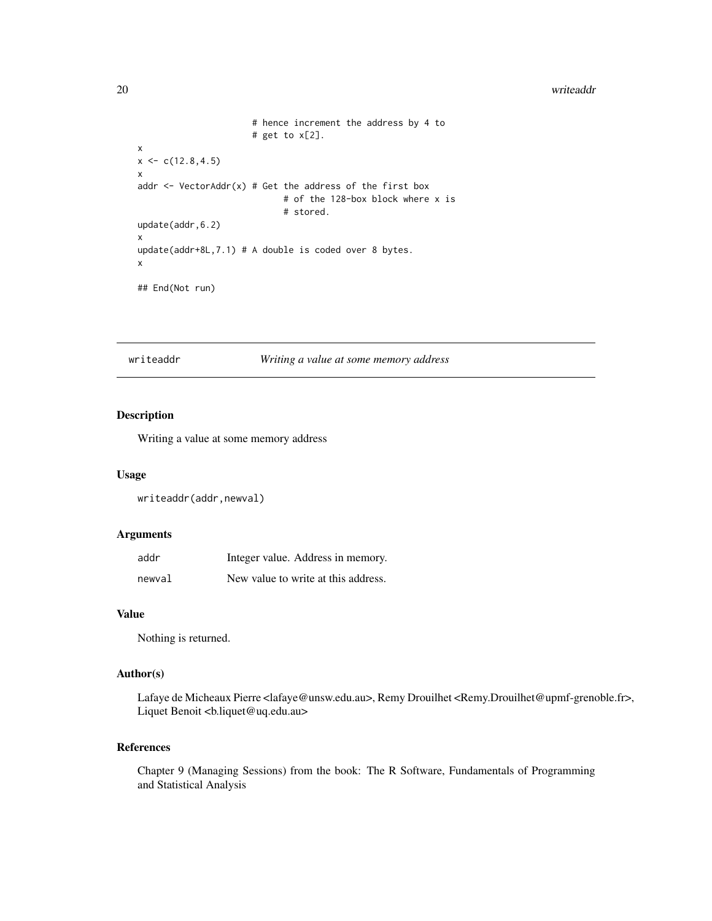#### <span id="page-19-0"></span>20 writeaddr **the contract of the contract of the contract of the contract of the contract of the contract of the contract of the contract of the contract of the contract of the contract of the contract of the contract of**

```
# hence increment the address by 4 to
                      # get to x[2].
x
x \leq c(12.8, 4.5)x
addr \le- VectorAddr(x) # Get the address of the first box
                            # of the 128-box block where x is
                             # stored.
update(addr,6.2)
x
update(addr+8L,7.1) # A double is coded over 8 bytes.
x
## End(Not run)
```
writeaddr *Writing a value at some memory address*

#### Description

Writing a value at some memory address

#### Usage

writeaddr(addr,newval)

#### Arguments

| addr   | Integer value. Address in memory.   |
|--------|-------------------------------------|
| newval | New value to write at this address. |

#### Value

Nothing is returned.

#### Author(s)

Lafaye de Micheaux Pierre <lafaye@unsw.edu.au>, Remy Drouilhet <Remy.Drouilhet@upmf-grenoble.fr>, Liquet Benoit <bl/>b.liquet@uq.edu.au>

#### References

Chapter 9 (Managing Sessions) from the book: The R Software, Fundamentals of Programming and Statistical Analysis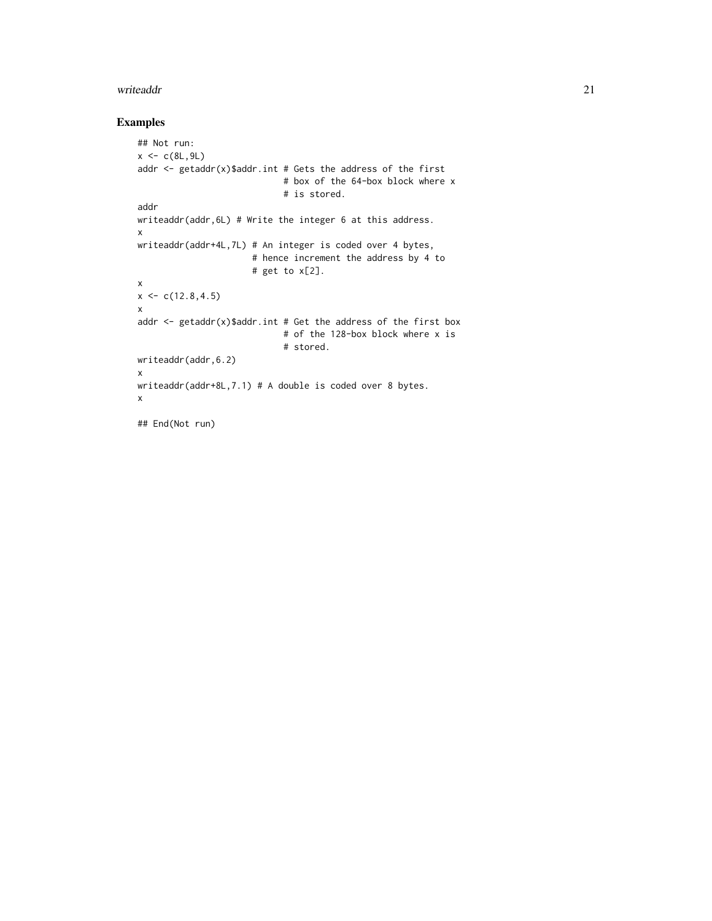#### writeaddr 21

```
## Not run:
x < -c(8L, 9L)addr \leq getaddr(x)$addr.int # Gets the address of the first
                            # box of the 64-box block where x
                            # is stored.
addr
writeaddr(addr,6L) # Write the integer 6 at this address.
x
writeaddr(addr+4L,7L) # An integer is coded over 4 bytes,
                      # hence increment the address by 4 to
                      # get to x[2].
x
x \leq -c(12.8, 4.5)x
addr <- getaddr(x)$addr.int # Get the address of the first box
                            # of the 128-box block where x is
                            # stored.
writeaddr(addr,6.2)
x
writeaddr(addr+8L,7.1) # A double is coded over 8 bytes.
x
## End(Not run)
```